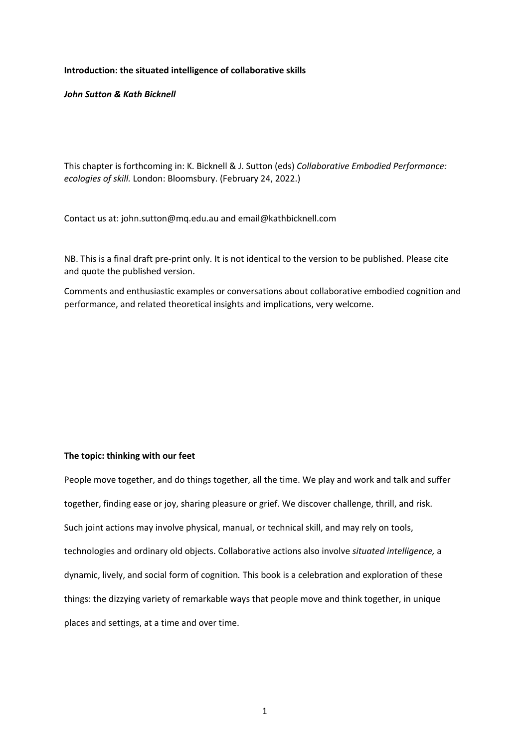# **Introduction: the situated intelligence of collaborative skills**

# *John Sutton & Kath Bicknell*

This chapter is forthcoming in: K. Bicknell & J. Sutton (eds) *Collaborative Embodied Performance: ecologies of skill.* London: Bloomsbury. (February 24, 2022.)

Contact us at: john.sutton@mq.edu.au and email@kathbicknell.com

NB. This is a final draft pre-print only. It is not identical to the version to be published. Please cite and quote the published version.

Comments and enthusiastic examples or conversations about collaborative embodied cognition and performance, and related theoretical insights and implications, very welcome.

# **The topic: thinking with our feet**

People move together, and do things together, all the time. We play and work and talk and suffer together, finding ease or joy, sharing pleasure or grief. We discover challenge, thrill, and risk. Such joint actions may involve physical, manual, or technical skill, and may rely on tools, technologies and ordinary old objects. Collaborative actions also involve *situated intelligence,* a dynamic, lively, and social form of cognition*.* This book is a celebration and exploration of these things: the dizzying variety of remarkable ways that people move and think together, in unique places and settings, at a time and over time.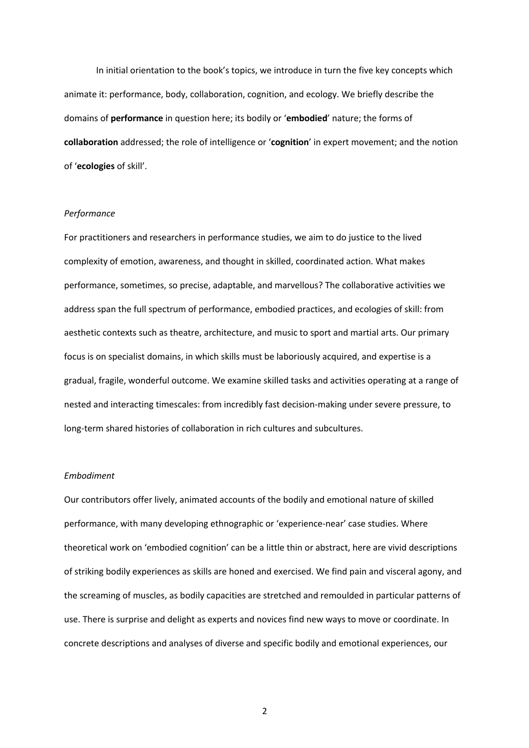In initial orientation to the book's topics, we introduce in turn the five key concepts which animate it: performance, body, collaboration, cognition, and ecology. We briefly describe the domains of **performance** in question here; its bodily or '**embodied**' nature; the forms of **collaboration** addressed; the role of intelligence or '**cognition**' in expert movement; and the notion of '**ecologies** of skill'.

## *Performance*

For practitioners and researchers in performance studies, we aim to do justice to the lived complexity of emotion, awareness, and thought in skilled, coordinated action. What makes performance, sometimes, so precise, adaptable, and marvellous? The collaborative activities we address span the full spectrum of performance, embodied practices, and ecologies of skill: from aesthetic contexts such as theatre, architecture, and music to sport and martial arts. Our primary focus is on specialist domains, in which skills must be laboriously acquired, and expertise is a gradual, fragile, wonderful outcome. We examine skilled tasks and activities operating at a range of nested and interacting timescales: from incredibly fast decision-making under severe pressure, to long-term shared histories of collaboration in rich cultures and subcultures.

#### *Embodiment*

Our contributors offer lively, animated accounts of the bodily and emotional nature of skilled performance, with many developing ethnographic or 'experience-near' case studies. Where theoretical work on 'embodied cognition' can be a little thin or abstract, here are vivid descriptions of striking bodily experiences as skills are honed and exercised. We find pain and visceral agony, and the screaming of muscles, as bodily capacities are stretched and remoulded in particular patterns of use. There is surprise and delight as experts and novices find new ways to move or coordinate. In concrete descriptions and analyses of diverse and specific bodily and emotional experiences, our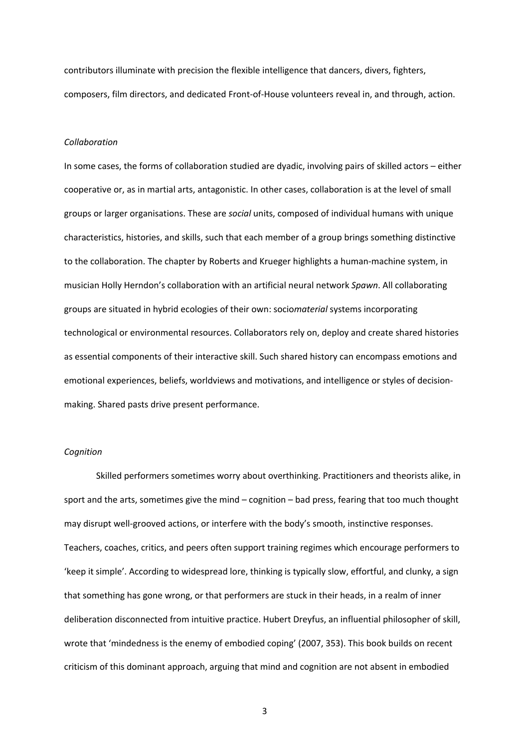contributors illuminate with precision the flexible intelligence that dancers, divers, fighters, composers, film directors, and dedicated Front-of-House volunteers reveal in, and through, action.

## *Collaboration*

In some cases, the forms of collaboration studied are dyadic, involving pairs of skilled actors – either cooperative or, as in martial arts, antagonistic. In other cases, collaboration is at the level of small groups or larger organisations. These are *social* units, composed of individual humans with unique characteristics, histories, and skills, such that each member of a group brings something distinctive to the collaboration. The chapter by Roberts and Krueger highlights a human-machine system, in musician Holly Herndon's collaboration with an artificial neural network *Spawn*. All collaborating groups are situated in hybrid ecologies of their own: socio*material* systems incorporating technological or environmental resources. Collaborators rely on, deploy and create shared histories as essential components of their interactive skill. Such shared history can encompass emotions and emotional experiences, beliefs, worldviews and motivations, and intelligence or styles of decisionmaking. Shared pasts drive present performance.

## *Cognition*

Skilled performers sometimes worry about overthinking. Practitioners and theorists alike, in sport and the arts, sometimes give the mind – cognition – bad press, fearing that too much thought may disrupt well-grooved actions, or interfere with the body's smooth, instinctive responses. Teachers, coaches, critics, and peers often support training regimes which encourage performers to 'keep it simple'. According to widespread lore, thinking is typically slow, effortful, and clunky, a sign that something has gone wrong, or that performers are stuck in their heads, in a realm of inner deliberation disconnected from intuitive practice. Hubert Dreyfus, an influential philosopher of skill, wrote that 'mindedness is the enemy of embodied coping' (2007, 353). This book builds on recent criticism of this dominant approach, arguing that mind and cognition are not absent in embodied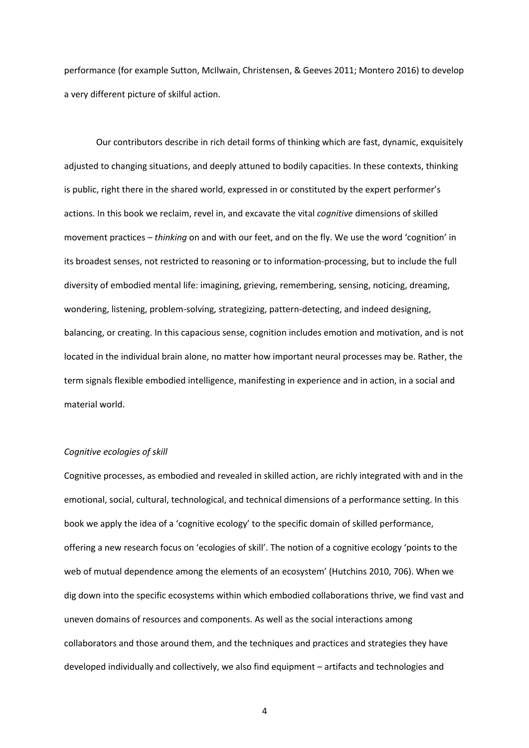performance (for example Sutton, McIlwain, Christensen, & Geeves 2011; Montero 2016) to develop a very different picture of skilful action.

Our contributors describe in rich detail forms of thinking which are fast, dynamic, exquisitely adjusted to changing situations, and deeply attuned to bodily capacities. In these contexts, thinking is public, right there in the shared world, expressed in or constituted by the expert performer's actions. In this book we reclaim, revel in, and excavate the vital *cognitive* dimensions of skilled movement practices – *thinking* on and with our feet, and on the fly. We use the word 'cognition' in its broadest senses, not restricted to reasoning or to information-processing, but to include the full diversity of embodied mental life: imagining, grieving, remembering, sensing, noticing, dreaming, wondering, listening, problem-solving, strategizing, pattern-detecting, and indeed designing, balancing, or creating. In this capacious sense, cognition includes emotion and motivation, and is not located in the individual brain alone, no matter how important neural processes may be. Rather, the term signals flexible embodied intelligence, manifesting in experience and in action, in a social and material world.

## *Cognitive ecologies of skill*

Cognitive processes, as embodied and revealed in skilled action, are richly integrated with and in the emotional, social, cultural, technological, and technical dimensions of a performance setting. In this book we apply the idea of a 'cognitive ecology' to the specific domain of skilled performance, offering a new research focus on 'ecologies of skill'. The notion of a cognitive ecology 'points to the web of mutual dependence among the elements of an ecosystem' (Hutchins 2010, 706). When we dig down into the specific ecosystems within which embodied collaborations thrive, we find vast and uneven domains of resources and components. As well as the social interactions among collaborators and those around them, and the techniques and practices and strategies they have developed individually and collectively, we also find equipment – artifacts and technologies and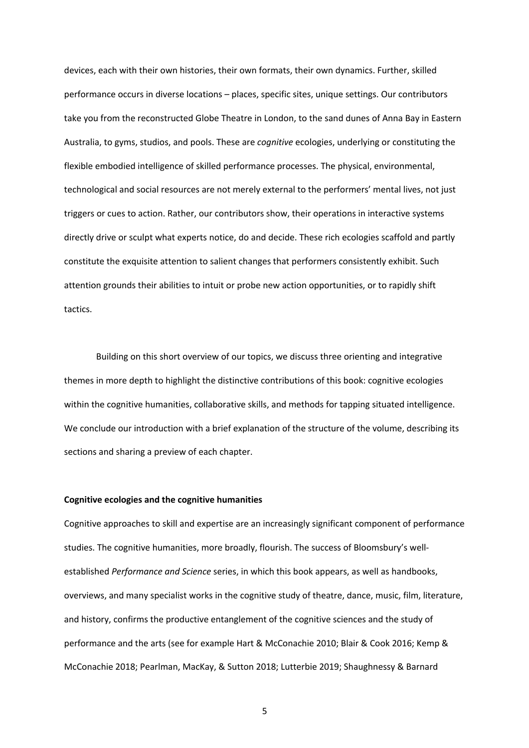devices, each with their own histories, their own formats, their own dynamics. Further, skilled performance occurs in diverse locations – places, specific sites, unique settings. Our contributors take you from the reconstructed Globe Theatre in London, to the sand dunes of Anna Bay in Eastern Australia, to gyms, studios, and pools. These are *cognitive* ecologies, underlying or constituting the flexible embodied intelligence of skilled performance processes. The physical, environmental, technological and social resources are not merely external to the performers' mental lives, not just triggers or cues to action. Rather, our contributors show, their operations in interactive systems directly drive or sculpt what experts notice, do and decide. These rich ecologies scaffold and partly constitute the exquisite attention to salient changes that performers consistently exhibit. Such attention grounds their abilities to intuit or probe new action opportunities, or to rapidly shift tactics.

Building on this short overview of our topics, we discuss three orienting and integrative themes in more depth to highlight the distinctive contributions of this book: cognitive ecologies within the cognitive humanities, collaborative skills, and methods for tapping situated intelligence. We conclude our introduction with a brief explanation of the structure of the volume, describing its sections and sharing a preview of each chapter.

## **Cognitive ecologies and the cognitive humanities**

Cognitive approaches to skill and expertise are an increasingly significant component of performance studies. The cognitive humanities, more broadly, flourish. The success of Bloomsbury's wellestablished *Performance and Science* series, in which this book appears, as well as handbooks, overviews, and many specialist works in the cognitive study of theatre, dance, music, film, literature, and history, confirms the productive entanglement of the cognitive sciences and the study of performance and the arts (see for example Hart & McConachie 2010; Blair & Cook 2016; Kemp & McConachie 2018; Pearlman, MacKay, & Sutton 2018; Lutterbie 2019; Shaughnessy & Barnard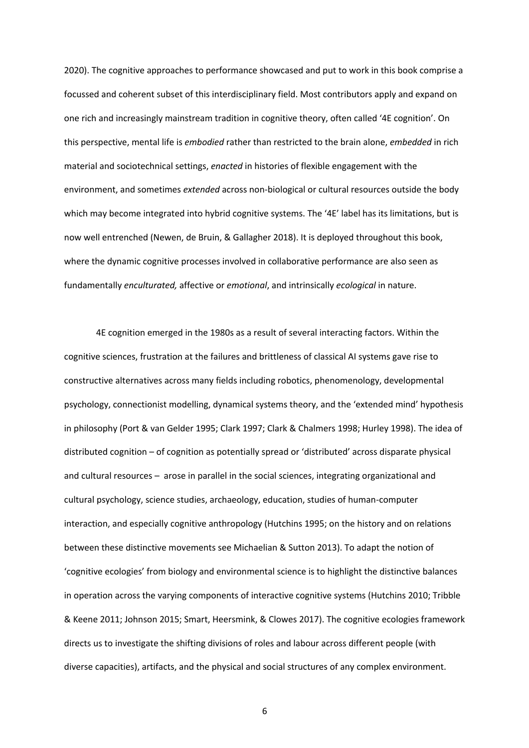2020). The cognitive approaches to performance showcased and put to work in this book comprise a focussed and coherent subset of this interdisciplinary field. Most contributors apply and expand on one rich and increasingly mainstream tradition in cognitive theory, often called '4E cognition'. On this perspective, mental life is *embodied* rather than restricted to the brain alone, *embedded* in rich material and sociotechnical settings, *enacted* in histories of flexible engagement with the environment, and sometimes *extended* across non-biological or cultural resources outside the body which may become integrated into hybrid cognitive systems. The '4E' label has its limitations, but is now well entrenched (Newen, de Bruin, & Gallagher 2018). It is deployed throughout this book, where the dynamic cognitive processes involved in collaborative performance are also seen as fundamentally *enculturated,* affective or *emotional*, and intrinsically *ecological* in nature.

4E cognition emerged in the 1980s as a result of several interacting factors. Within the cognitive sciences, frustration at the failures and brittleness of classical AI systems gave rise to constructive alternatives across many fields including robotics, phenomenology, developmental psychology, connectionist modelling, dynamical systems theory, and the 'extended mind' hypothesis in philosophy (Port & van Gelder 1995; Clark 1997; Clark & Chalmers 1998; Hurley 1998). The idea of distributed cognition – of cognition as potentially spread or 'distributed' across disparate physical and cultural resources – arose in parallel in the social sciences, integrating organizational and cultural psychology, science studies, archaeology, education, studies of human-computer interaction, and especially cognitive anthropology (Hutchins 1995; on the history and on relations between these distinctive movements see Michaelian & Sutton 2013). To adapt the notion of 'cognitive ecologies' from biology and environmental science is to highlight the distinctive balances in operation across the varying components of interactive cognitive systems (Hutchins 2010; Tribble & Keene 2011; Johnson 2015; Smart, Heersmink, & Clowes 2017). The cognitive ecologies framework directs us to investigate the shifting divisions of roles and labour across different people (with diverse capacities), artifacts, and the physical and social structures of any complex environment.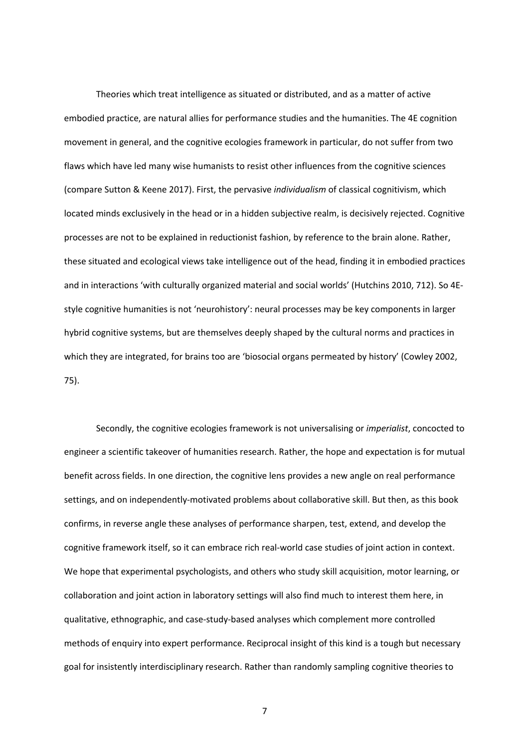Theories which treat intelligence as situated or distributed, and as a matter of active embodied practice, are natural allies for performance studies and the humanities. The 4E cognition movement in general, and the cognitive ecologies framework in particular, do not suffer from two flaws which have led many wise humanists to resist other influences from the cognitive sciences (compare Sutton & Keene 2017). First, the pervasive *individualism* of classical cognitivism, which located minds exclusively in the head or in a hidden subjective realm, is decisively rejected. Cognitive processes are not to be explained in reductionist fashion, by reference to the brain alone. Rather, these situated and ecological views take intelligence out of the head, finding it in embodied practices and in interactions 'with culturally organized material and social worlds' (Hutchins 2010, 712). So 4Estyle cognitive humanities is not 'neurohistory': neural processes may be key components in larger hybrid cognitive systems, but are themselves deeply shaped by the cultural norms and practices in which they are integrated, for brains too are 'biosocial organs permeated by history' (Cowley 2002, 75).

Secondly, the cognitive ecologies framework is not universalising or *imperialist*, concocted to engineer a scientific takeover of humanities research. Rather, the hope and expectation is for mutual benefit across fields. In one direction, the cognitive lens provides a new angle on real performance settings, and on independently-motivated problems about collaborative skill. But then, as this book confirms, in reverse angle these analyses of performance sharpen, test, extend, and develop the cognitive framework itself, so it can embrace rich real-world case studies of joint action in context. We hope that experimental psychologists, and others who study skill acquisition, motor learning, or collaboration and joint action in laboratory settings will also find much to interest them here, in qualitative, ethnographic, and case-study-based analyses which complement more controlled methods of enquiry into expert performance. Reciprocal insight of this kind is a tough but necessary goal for insistently interdisciplinary research. Rather than randomly sampling cognitive theories to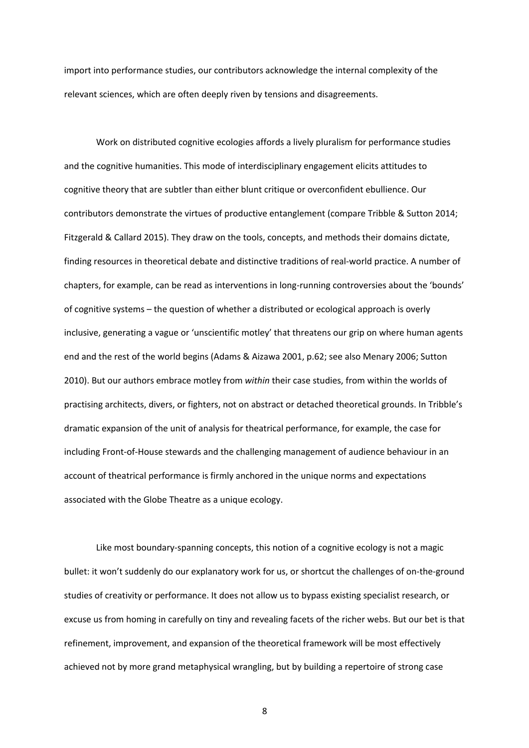import into performance studies, our contributors acknowledge the internal complexity of the relevant sciences, which are often deeply riven by tensions and disagreements.

Work on distributed cognitive ecologies affords a lively pluralism for performance studies and the cognitive humanities. This mode of interdisciplinary engagement elicits attitudes to cognitive theory that are subtler than either blunt critique or overconfident ebullience. Our contributors demonstrate the virtues of productive entanglement (compare Tribble & Sutton 2014; Fitzgerald & Callard 2015). They draw on the tools, concepts, and methods their domains dictate, finding resources in theoretical debate and distinctive traditions of real-world practice. A number of chapters, for example, can be read as interventions in long-running controversies about the 'bounds' of cognitive systems – the question of whether a distributed or ecological approach is overly inclusive, generating a vague or 'unscientific motley' that threatens our grip on where human agents end and the rest of the world begins (Adams & Aizawa 2001, p.62; see also Menary 2006; Sutton 2010). But our authors embrace motley from *within* their case studies, from within the worlds of practising architects, divers, or fighters, not on abstract or detached theoretical grounds. In Tribble's dramatic expansion of the unit of analysis for theatrical performance, for example, the case for including Front-of-House stewards and the challenging management of audience behaviour in an account of theatrical performance is firmly anchored in the unique norms and expectations associated with the Globe Theatre as a unique ecology.

Like most boundary-spanning concepts, this notion of a cognitive ecology is not a magic bullet: it won't suddenly do our explanatory work for us, or shortcut the challenges of on-the-ground studies of creativity or performance. It does not allow us to bypass existing specialist research, or excuse us from homing in carefully on tiny and revealing facets of the richer webs. But our bet is that refinement, improvement, and expansion of the theoretical framework will be most effectively achieved not by more grand metaphysical wrangling, but by building a repertoire of strong case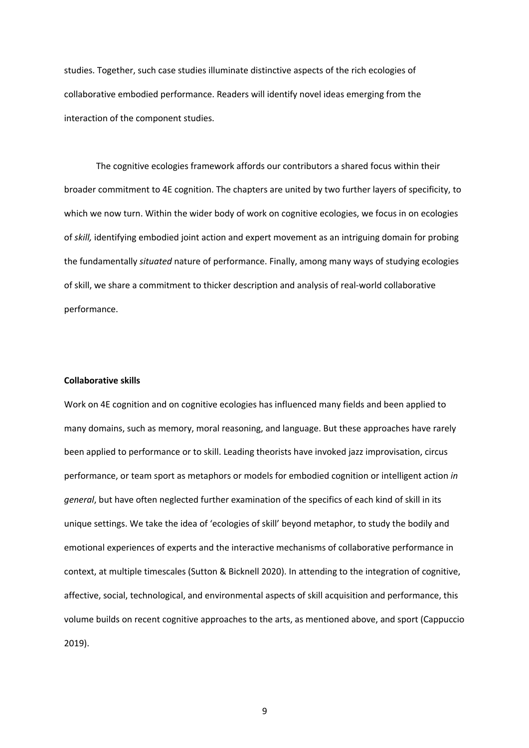studies. Together, such case studies illuminate distinctive aspects of the rich ecologies of collaborative embodied performance. Readers will identify novel ideas emerging from the interaction of the component studies.

The cognitive ecologies framework affords our contributors a shared focus within their broader commitment to 4E cognition. The chapters are united by two further layers of specificity, to which we now turn. Within the wider body of work on cognitive ecologies, we focus in on ecologies of *skill,* identifying embodied joint action and expert movement as an intriguing domain for probing the fundamentally *situated* nature of performance. Finally, among many ways of studying ecologies of skill, we share a commitment to thicker description and analysis of real-world collaborative performance.

#### **Collaborative skills**

Work on 4E cognition and on cognitive ecologies has influenced many fields and been applied to many domains, such as memory, moral reasoning, and language. But these approaches have rarely been applied to performance or to skill. Leading theorists have invoked jazz improvisation, circus performance, or team sport as metaphors or models for embodied cognition or intelligent action *in general*, but have often neglected further examination of the specifics of each kind of skill in its unique settings. We take the idea of 'ecologies of skill' beyond metaphor, to study the bodily and emotional experiences of experts and the interactive mechanisms of collaborative performance in context, at multiple timescales (Sutton & Bicknell 2020). In attending to the integration of cognitive, affective, social, technological, and environmental aspects of skill acquisition and performance, this volume builds on recent cognitive approaches to the arts, as mentioned above, and sport (Cappuccio 2019).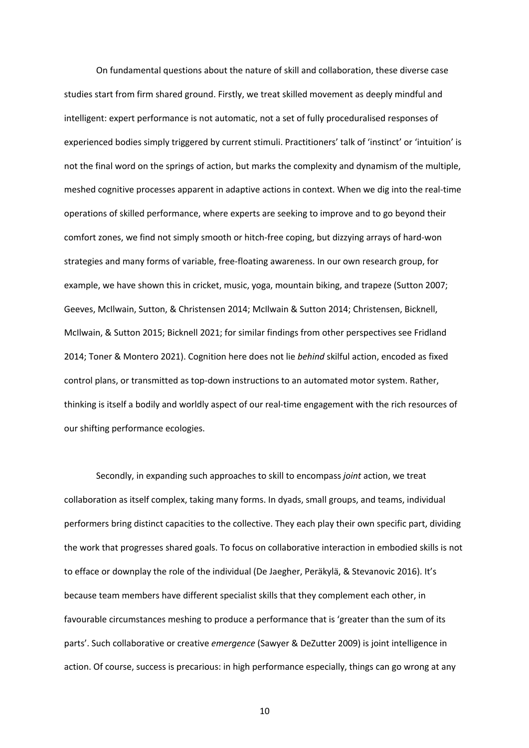On fundamental questions about the nature of skill and collaboration, these diverse case studies start from firm shared ground. Firstly, we treat skilled movement as deeply mindful and intelligent: expert performance is not automatic, not a set of fully proceduralised responses of experienced bodies simply triggered by current stimuli. Practitioners' talk of 'instinct' or 'intuition' is not the final word on the springs of action, but marks the complexity and dynamism of the multiple, meshed cognitive processes apparent in adaptive actions in context. When we dig into the real-time operations of skilled performance, where experts are seeking to improve and to go beyond their comfort zones, we find not simply smooth or hitch-free coping, but dizzying arrays of hard-won strategies and many forms of variable, free-floating awareness. In our own research group, for example, we have shown this in cricket, music, yoga, mountain biking, and trapeze (Sutton 2007; Geeves, McIlwain, Sutton, & Christensen 2014; McIlwain & Sutton 2014; Christensen, Bicknell, McIlwain, & Sutton 2015; Bicknell 2021; for similar findings from other perspectives see Fridland 2014; Toner & Montero 2021). Cognition here does not lie *behind* skilful action, encoded as fixed control plans, or transmitted as top-down instructions to an automated motor system. Rather, thinking is itself a bodily and worldly aspect of our real-time engagement with the rich resources of our shifting performance ecologies.

Secondly, in expanding such approaches to skill to encompass *joint* action, we treat collaboration as itself complex, taking many forms. In dyads, small groups, and teams, individual performers bring distinct capacities to the collective. They each play their own specific part, dividing the work that progresses shared goals. To focus on collaborative interaction in embodied skills is not to efface or downplay the role of the individual (De Jaegher, Peräkylä, & Stevanovic 2016). It's because team members have different specialist skills that they complement each other, in favourable circumstances meshing to produce a performance that is 'greater than the sum of its parts'. Such collaborative or creative *emergence* (Sawyer & DeZutter 2009) is joint intelligence in action. Of course, success is precarious: in high performance especially, things can go wrong at any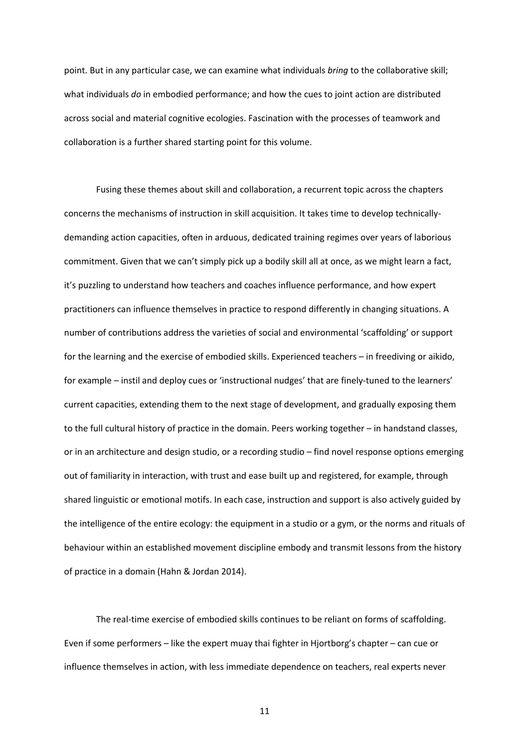point. But in any particular case, we can examine what individuals *bring* to the collaborative skill; what individuals *do* in embodied performance; and how the cues to joint action are distributed across social and material cognitive ecologies. Fascination with the processes of teamwork and collaboration is a further shared starting point for this volume.

Fusing these themes about skill and collaboration, a recurrent topic across the chapters concerns the mechanisms of instruction in skill acquisition. It takes time to develop technicallydemanding action capacities, often in arduous, dedicated training regimes over years of laborious commitment. Given that we can't simply pick up a bodily skill all at once, as we might learn a fact, it's puzzling to understand how teachers and coaches influence performance, and how expert practitioners can influence themselves in practice to respond differently in changing situations. A number of contributions address the varieties of social and environmental 'scaffolding' or support for the learning and the exercise of embodied skills. Experienced teachers – in freediving or aikido, for example – instil and deploy cues or 'instructional nudges' that are finely-tuned to the learners' current capacities, extending them to the next stage of development, and gradually exposing them to the full cultural history of practice in the domain. Peers working together – in handstand classes, or in an architecture and design studio, or a recording studio – find novel response options emerging out of familiarity in interaction, with trust and ease built up and registered, for example, through shared linguistic or emotional motifs. In each case, instruction and support is also actively guided by the intelligence of the entire ecology: the equipment in a studio or a gym, or the norms and rituals of behaviour within an established movement discipline embody and transmit lessons from the history of practice in a domain (Hahn & Jordan 2014).

The real-time exercise of embodied skills continues to be reliant on forms of scaffolding. Even if some performers – like the expert muay thai fighter in Hjortborg's chapter – can cue or influence themselves in action, with less immediate dependence on teachers, real experts never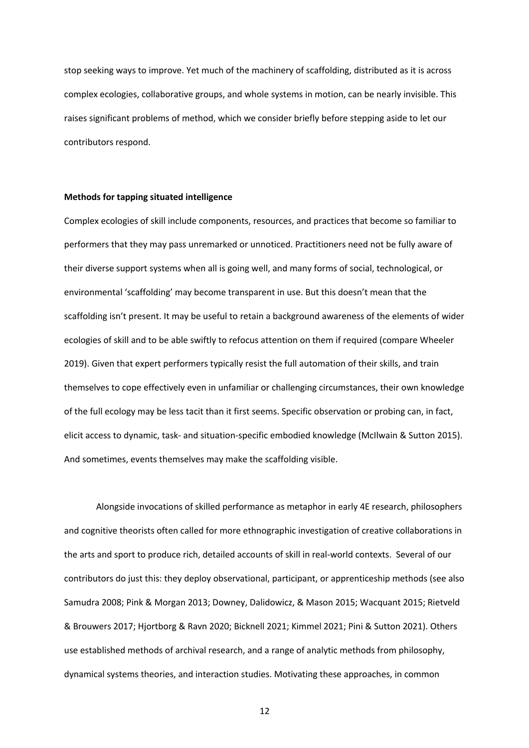stop seeking ways to improve. Yet much of the machinery of scaffolding, distributed as it is across complex ecologies, collaborative groups, and whole systems in motion, can be nearly invisible. This raises significant problems of method, which we consider briefly before stepping aside to let our contributors respond.

#### **Methods for tapping situated intelligence**

Complex ecologies of skill include components, resources, and practices that become so familiar to performers that they may pass unremarked or unnoticed. Practitioners need not be fully aware of their diverse support systems when all is going well, and many forms of social, technological, or environmental 'scaffolding' may become transparent in use. But this doesn't mean that the scaffolding isn't present. It may be useful to retain a background awareness of the elements of wider ecologies of skill and to be able swiftly to refocus attention on them if required (compare Wheeler 2019). Given that expert performers typically resist the full automation of their skills, and train themselves to cope effectively even in unfamiliar or challenging circumstances, their own knowledge of the full ecology may be less tacit than it first seems. Specific observation or probing can, in fact, elicit access to dynamic, task- and situation-specific embodied knowledge (McIlwain & Sutton 2015). And sometimes, events themselves may make the scaffolding visible.

Alongside invocations of skilled performance as metaphor in early 4E research, philosophers and cognitive theorists often called for more ethnographic investigation of creative collaborations in the arts and sport to produce rich, detailed accounts of skill in real-world contexts. Several of our contributors do just this: they deploy observational, participant, or apprenticeship methods (see also Samudra 2008; Pink & Morgan 2013; Downey, Dalidowicz, & Mason 2015; Wacquant 2015; Rietveld & Brouwers 2017; Hjortborg & Ravn 2020; Bicknell 2021; Kimmel 2021; Pini & Sutton 2021). Others use established methods of archival research, and a range of analytic methods from philosophy, dynamical systems theories, and interaction studies. Motivating these approaches, in common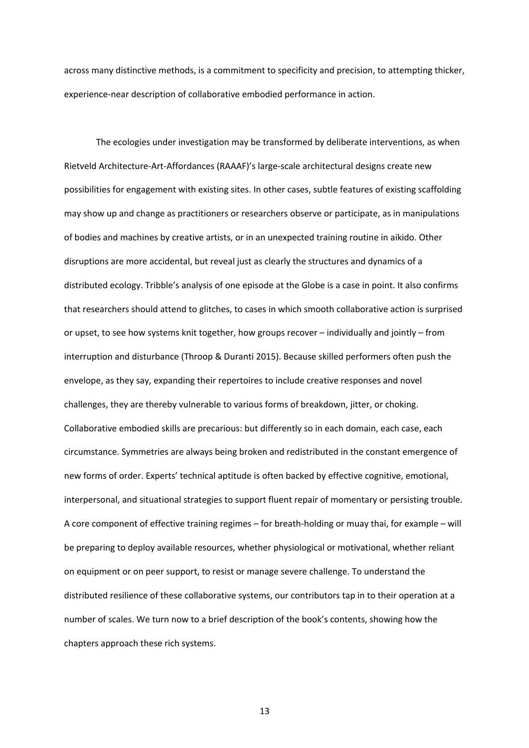across many distinctive methods, is a commitment to specificity and precision, to attempting thicker, experience-near description of collaborative embodied performance in action.

The ecologies under investigation may be transformed by deliberate interventions, as when Rietveld Architecture-Art-Affordances (RAAAF)'s large-scale architectural designs create new possibilities for engagement with existing sites. In other cases, subtle features of existing scaffolding may show up and change as practitioners or researchers observe or participate, as in manipulations of bodies and machines by creative artists, or in an unexpected training routine in aikido. Other disruptions are more accidental, but reveal just as clearly the structures and dynamics of a distributed ecology. Tribble's analysis of one episode at the Globe is a case in point. It also confirms that researchers should attend to glitches, to cases in which smooth collaborative action is surprised or upset, to see how systems knit together, how groups recover – individually and jointly – from interruption and disturbance (Throop & Duranti 2015). Because skilled performers often push the envelope, as they say, expanding their repertoires to include creative responses and novel challenges, they are thereby vulnerable to various forms of breakdown, jitter, or choking. Collaborative embodied skills are precarious: but differently so in each domain, each case, each circumstance. Symmetries are always being broken and redistributed in the constant emergence of new forms of order. Experts' technical aptitude is often backed by effective cognitive, emotional, interpersonal, and situational strategies to support fluent repair of momentary or persisting trouble. A core component of effective training regimes – for breath-holding or muay thai, for example – will be preparing to deploy available resources, whether physiological or motivational, whether reliant on equipment or on peer support, to resist or manage severe challenge. To understand the distributed resilience of these collaborative systems, our contributors tap in to their operation at a number of scales. We turn now to a brief description of the book's contents, showing how the chapters approach these rich systems.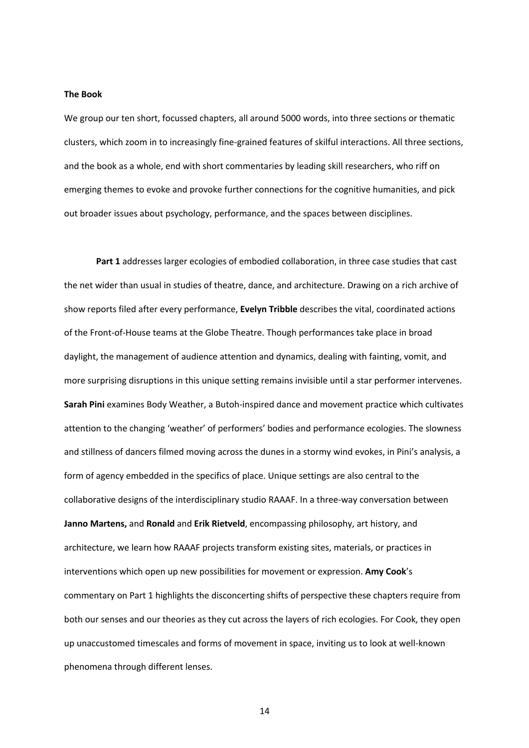#### **The Book**

We group our ten short, focussed chapters, all around 5000 words, into three sections or thematic clusters, which zoom in to increasingly fine-grained features of skilful interactions. All three sections, and the book as a whole, end with short commentaries by leading skill researchers, who riff on emerging themes to evoke and provoke further connections for the cognitive humanities, and pick out broader issues about psychology, performance, and the spaces between disciplines.

**Part 1** addresses larger ecologies of embodied collaboration, in three case studies that cast the net wider than usual in studies of theatre, dance, and architecture. Drawing on a rich archive of show reports filed after every performance, **Evelyn Tribble** describes the vital, coordinated actions of the Front-of-House teams at the Globe Theatre. Though performances take place in broad daylight, the management of audience attention and dynamics, dealing with fainting, vomit, and more surprising disruptions in this unique setting remains invisible until a star performer intervenes. **Sarah Pini** examines Body Weather, a Butoh-inspired dance and movement practice which cultivates attention to the changing 'weather' of performers' bodies and performance ecologies. The slowness and stillness of dancers filmed moving across the dunes in a stormy wind evokes, in Pini's analysis, a form of agency embedded in the specifics of place. Unique settings are also central to the collaborative designs of the interdisciplinary studio RAAAF. In a three-way conversation between **Janno Martens,** and **Ronald** and **Erik Rietveld**, encompassing philosophy, art history, and architecture, we learn how RAAAF projects transform existing sites, materials, or practices in interventions which open up new possibilities for movement or expression. **Amy Cook**'s commentary on Part 1 highlights the disconcerting shifts of perspective these chapters require from both our senses and our theories as they cut across the layers of rich ecologies. For Cook, they open up unaccustomed timescales and forms of movement in space, inviting us to look at well-known phenomena through different lenses.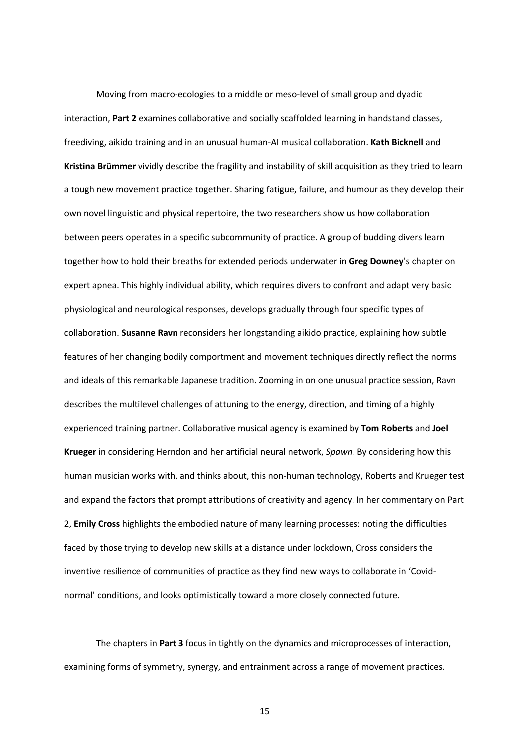Moving from macro-ecologies to a middle or meso-level of small group and dyadic interaction, **Part 2** examines collaborative and socially scaffolded learning in handstand classes, freediving, aikido training and in an unusual human-AI musical collaboration. **Kath Bicknell** and **Kristina Brümmer** vividly describe the fragility and instability of skill acquisition as they tried to learn a tough new movement practice together. Sharing fatigue, failure, and humour as they develop their own novel linguistic and physical repertoire, the two researchers show us how collaboration between peers operates in a specific subcommunity of practice. A group of budding divers learn together how to hold their breaths for extended periods underwater in **Greg Downey**'s chapter on expert apnea. This highly individual ability, which requires divers to confront and adapt very basic physiological and neurological responses, develops gradually through four specific types of collaboration. **Susanne Ravn** reconsiders her longstanding aikido practice, explaining how subtle features of her changing bodily comportment and movement techniques directly reflect the norms and ideals of this remarkable Japanese tradition. Zooming in on one unusual practice session, Ravn describes the multilevel challenges of attuning to the energy, direction, and timing of a highly experienced training partner. Collaborative musical agency is examined by **Tom Roberts** and **Joel Krueger** in considering Herndon and her artificial neural network, *Spawn.* By considering how this human musician works with, and thinks about, this non-human technology, Roberts and Krueger test and expand the factors that prompt attributions of creativity and agency. In her commentary on Part 2, **Emily Cross** highlights the embodied nature of many learning processes: noting the difficulties faced by those trying to develop new skills at a distance under lockdown, Cross considers the inventive resilience of communities of practice as they find new ways to collaborate in 'Covidnormal' conditions, and looks optimistically toward a more closely connected future.

The chapters in **Part 3** focus in tightly on the dynamics and microprocesses of interaction, examining forms of symmetry, synergy, and entrainment across a range of movement practices.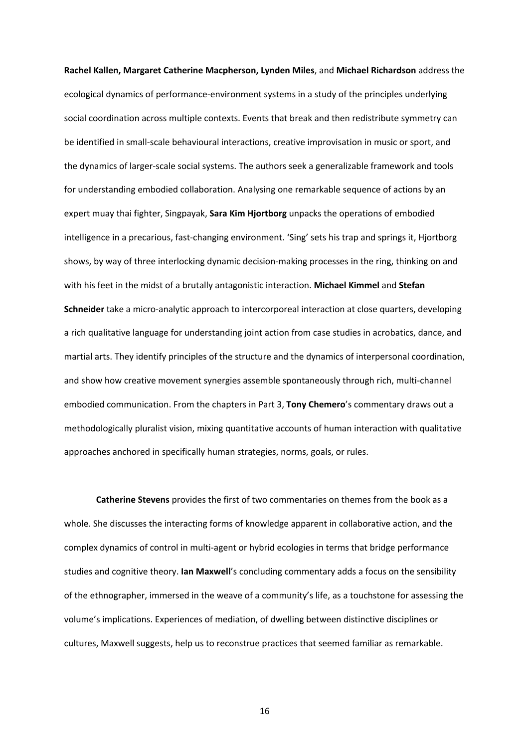**Rachel Kallen, Margaret Catherine Macpherson, Lynden Miles**, and **Michael Richardson** address the ecological dynamics of performance-environment systems in a study of the principles underlying social coordination across multiple contexts. Events that break and then redistribute symmetry can be identified in small-scale behavioural interactions, creative improvisation in music or sport, and the dynamics of larger-scale social systems. The authors seek a generalizable framework and tools for understanding embodied collaboration. Analysing one remarkable sequence of actions by an expert muay thai fighter, Singpayak, **Sara Kim Hjortborg** unpacks the operations of embodied intelligence in a precarious, fast-changing environment. 'Sing' sets his trap and springs it, Hjortborg shows, by way of three interlocking dynamic decision-making processes in the ring, thinking on and with his feet in the midst of a brutally antagonistic interaction. **Michael Kimmel** and **Stefan Schneider** take a micro-analytic approach to intercorporeal interaction at close quarters, developing a rich qualitative language for understanding joint action from case studies in acrobatics, dance, and martial arts. They identify principles of the structure and the dynamics of interpersonal coordination, and show how creative movement synergies assemble spontaneously through rich, multi-channel embodied communication. From the chapters in Part 3, **Tony Chemero**'s commentary draws out a methodologically pluralist vision, mixing quantitative accounts of human interaction with qualitative approaches anchored in specifically human strategies, norms, goals, or rules.

**Catherine Stevens** provides the first of two commentaries on themes from the book as a whole. She discusses the interacting forms of knowledge apparent in collaborative action, and the complex dynamics of control in multi-agent or hybrid ecologies in terms that bridge performance studies and cognitive theory. **Ian Maxwell**'s concluding commentary adds a focus on the sensibility of the ethnographer, immersed in the weave of a community's life, as a touchstone for assessing the volume's implications. Experiences of mediation, of dwelling between distinctive disciplines or cultures, Maxwell suggests, help us to reconstrue practices that seemed familiar as remarkable.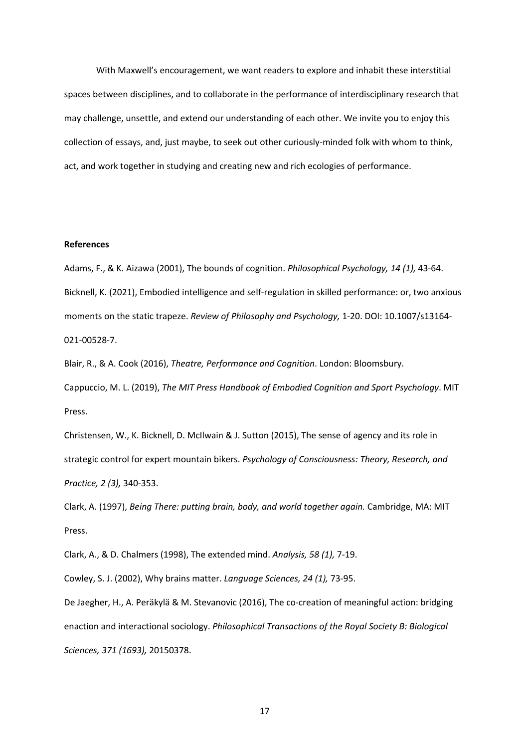With Maxwell's encouragement, we want readers to explore and inhabit these interstitial spaces between disciplines, and to collaborate in the performance of interdisciplinary research that may challenge, unsettle, and extend our understanding of each other. We invite you to enjoy this collection of essays, and, just maybe, to seek out other curiously-minded folk with whom to think, act, and work together in studying and creating new and rich ecologies of performance.

## **References**

Adams, F., & K. Aizawa (2001), The bounds of cognition. *Philosophical Psychology, 14 (1),* 43-64. Bicknell, K. (2021), Embodied intelligence and self-regulation in skilled performance: or, two anxious moments on the static trapeze. *Review of Philosophy and Psychology,* 1-20. DOI: 10.1007/s13164- 021-00528-7.

Blair, R., & A. Cook (2016), *Theatre, Performance and Cognition*. London: Bloomsbury. Cappuccio, M. L. (2019), *The MIT Press Handbook of Embodied Cognition and Sport Psychology*. MIT Press.

Christensen, W., K. Bicknell, D. McIlwain & J. Sutton (2015), The sense of agency and its role in strategic control for expert mountain bikers. *Psychology of Consciousness: Theory, Research, and Practice, 2 (3),* 340-353.

Clark, A. (1997), *Being There: putting brain, body, and world together again.* Cambridge, MA: MIT Press.

Clark, A., & D. Chalmers (1998), The extended mind. *Analysis, 58 (1),* 7-19.

Cowley, S. J. (2002), Why brains matter. *Language Sciences, 24 (1),* 73-95.

De Jaegher, H., A. Peräkylä & M. Stevanovic (2016), The co-creation of meaningful action: bridging enaction and interactional sociology. *Philosophical Transactions of the Royal Society B: Biological Sciences, 371 (1693),* 20150378.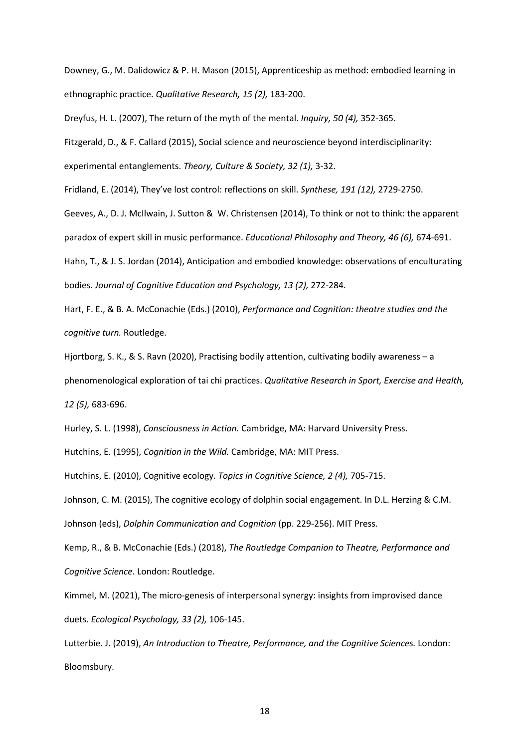Downey, G., M. Dalidowicz & P. H. Mason (2015), Apprenticeship as method: embodied learning in ethnographic practice. *Qualitative Research, 15 (2),* 183-200.

Dreyfus, H. L. (2007), The return of the myth of the mental. *Inquiry, 50 (4),* 352-365.

Fitzgerald, D., & F. Callard (2015), Social science and neuroscience beyond interdisciplinarity:

experimental entanglements. *Theory, Culture & Society, 32 (1),* 3-32.

Fridland, E. (2014), They've lost control: reflections on skill. *Synthese, 191 (12),* 2729-2750.

Geeves, A., D. J. McIlwain, J. Sutton & W. Christensen (2014), To think or not to think: the apparent paradox of expert skill in music performance. *Educational Philosophy and Theory, 46 (6),* 674-691.

Hahn, T., & J. S. Jordan (2014), Anticipation and embodied knowledge: observations of enculturating bodies. *Journal of Cognitive Education and Psychology, 13 (2),* 272-284.

Hart, F. E., & B. A. McConachie (Eds.) (2010), *Performance and Cognition: theatre studies and the cognitive turn.* Routledge.

Hjortborg, S. K., & S. Ravn (2020), Practising bodily attention, cultivating bodily awareness – a phenomenological exploration of tai chi practices. *Qualitative Research in Sport, Exercise and Health, 12 (5),* 683-696.

Hurley, S. L. (1998), *Consciousness in Action.* Cambridge, MA: Harvard University Press.

Hutchins, E. (1995), *Cognition in the Wild.* Cambridge, MA: MIT Press.

Hutchins, E. (2010), Cognitive ecology. *Topics in Cognitive Science, 2 (4),* 705-715.

Johnson, C. M. (2015), The cognitive ecology of dolphin social engagement. In D.L. Herzing & C.M.

Johnson (eds), *Dolphin Communication and Cognition* (pp. 229-256). MIT Press.

Kemp, R., & B. McConachie (Eds.) (2018), *The Routledge Companion to Theatre, Performance and Cognitive Science*. London: Routledge.

Kimmel, M. (2021), The micro-genesis of interpersonal synergy: insights from improvised dance duets. *Ecological Psychology, 33 (2),* 106-145.

Lutterbie. J. (2019), *An Introduction to Theatre, Performance, and the Cognitive Sciences.* London: Bloomsbury.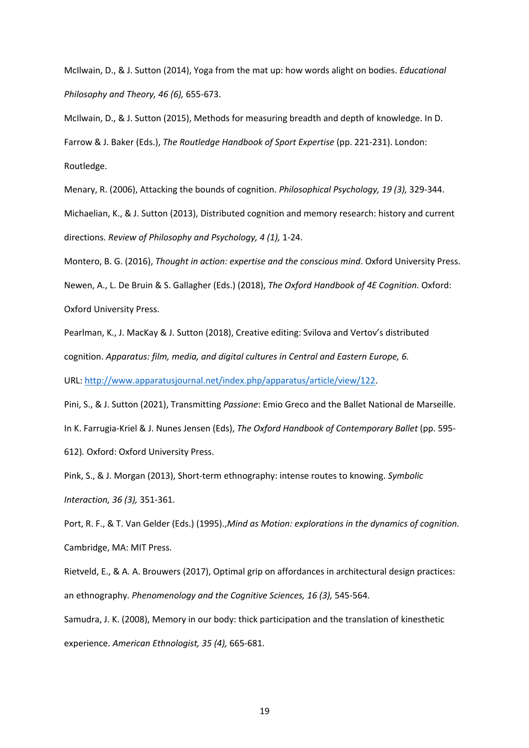McIlwain, D., & J. Sutton (2014), Yoga from the mat up: how words alight on bodies. *Educational Philosophy and Theory, 46 (6),* 655-673.

McIlwain, D., & J. Sutton (2015), Methods for measuring breadth and depth of knowledge. In D. Farrow & J. Baker (Eds.), *The Routledge Handbook of Sport Expertise* (pp. 221-231). London: Routledge.

Menary, R. (2006), Attacking the bounds of cognition. *Philosophical Psychology, 19 (3),* 329-344. Michaelian, K., & J. Sutton (2013), Distributed cognition and memory research: history and current directions. *Review of Philosophy and Psychology, 4 (1),* 1-24.

Montero, B. G. (2016), *Thought in action: expertise and the conscious mind*. Oxford University Press. Newen, A., L. De Bruin & S. Gallagher (Eds.) (2018), *The Oxford Handbook of 4E Cognition.* Oxford: Oxford University Press.

Pearlman, K., J. MacKay & J. Sutton (2018), Creative editing: Svilova and Vertov's distributed cognition. *Apparatus: film, media, and digital cultures in Central and Eastern Europe, 6.* 

URL: http://www.apparatusjournal.net/index.php/apparatus/article/view/122.

Pini, S., & J. Sutton (2021), Transmitting *Passione*: Emio Greco and the Ballet National de Marseille. In K. Farrugia-Kriel & J. Nunes Jensen (Eds), *The Oxford Handbook of Contemporary Ballet* (pp. 595- 612)*.* Oxford: Oxford University Press.

Pink, S., & J. Morgan (2013), Short-term ethnography: intense routes to knowing. *Symbolic Interaction, 36 (3),* 351-361.

Port, R. F., & T. Van Gelder (Eds.) (1995).,*Mind as Motion: explorations in the dynamics of cognition.* Cambridge, MA: MIT Press.

Rietveld, E., & A. A. Brouwers (2017), Optimal grip on affordances in architectural design practices: an ethnography. *Phenomenology and the Cognitive Sciences, 16 (3),* 545-564.

Samudra, J. K. (2008), Memory in our body: thick participation and the translation of kinesthetic experience. *American Ethnologist, 35 (4),* 665-681.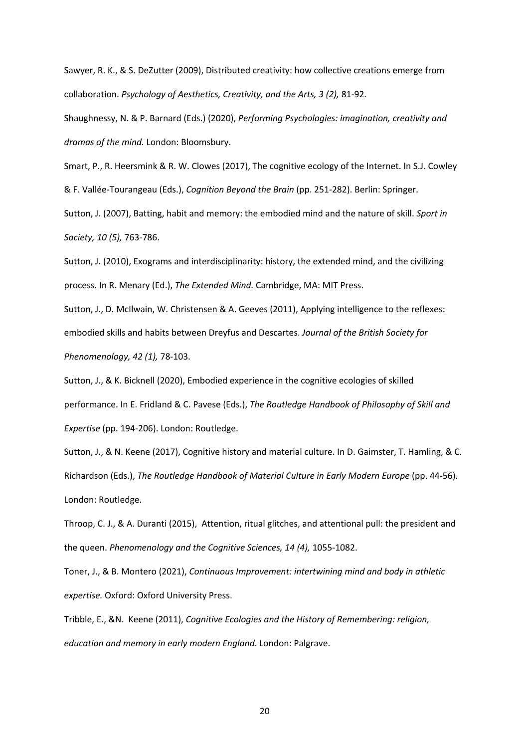Sawyer, R. K., & S. DeZutter (2009), Distributed creativity: how collective creations emerge from collaboration. *Psychology of Aesthetics, Creativity, and the Arts, 3 (2),* 81-92.

Shaughnessy, N. & P. Barnard (Eds.) (2020), *Performing Psychologies: imagination, creativity and dramas of the mind.* London: Bloomsbury.

Smart, P., R. Heersmink & R. W. Clowes (2017), The cognitive ecology of the Internet. In S.J. Cowley & F. Vallée-Tourangeau (Eds.), *Cognition Beyond the Brain* (pp. 251-282). Berlin: Springer.

Sutton, J. (2007), Batting, habit and memory: the embodied mind and the nature of skill. *Sport in Society, 10 (5),* 763-786.

Sutton, J. (2010), Exograms and interdisciplinarity: history, the extended mind, and the civilizing process. In R. Menary (Ed.), *The Extended Mind.* Cambridge, MA: MIT Press.

Sutton, J., D. McIlwain, W. Christensen & A. Geeves (2011), Applying intelligence to the reflexes: embodied skills and habits between Dreyfus and Descartes. *Journal of the British Society for Phenomenology, 42 (1),* 78-103.

Sutton, J., & K. Bicknell (2020), Embodied experience in the cognitive ecologies of skilled performance. In E. Fridland & C. Pavese (Eds.), *The Routledge Handbook of Philosophy of Skill and Expertise* (pp. 194-206). London: Routledge.

Sutton, J., & N. Keene (2017), Cognitive history and material culture. In D. Gaimster, T. Hamling, & C. Richardson (Eds.), *The Routledge Handbook of Material Culture in Early Modern Europe* (pp. 44-56). London: Routledge.

Throop, C. J., & A. Duranti (2015), Attention, ritual glitches, and attentional pull: the president and the queen. *Phenomenology and the Cognitive Sciences, 14 (4),* 1055-1082.

Toner, J., & B. Montero (2021), *Continuous Improvement: intertwining mind and body in athletic expertise.* Oxford: Oxford University Press.

Tribble, E., &N. Keene (2011), *Cognitive Ecologies and the History of Remembering: religion, education and memory in early modern England*. London: Palgrave.